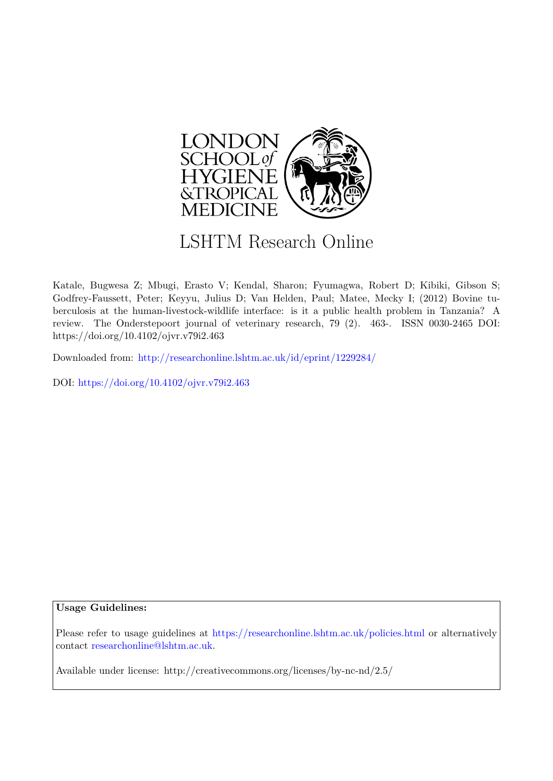

# LSHTM Research Online

Katale, Bugwesa Z; Mbugi, Erasto V; Kendal, Sharon; Fyumagwa, Robert D; Kibiki, Gibson S; Godfrey-Faussett, Peter; Keyyu, Julius D; Van Helden, Paul; Matee, Mecky I; (2012) Bovine tuberculosis at the human-livestock-wildlife interface: is it a public health problem in Tanzania? A review. The Onderstepoort journal of veterinary research, 79 (2). 463-. ISSN 0030-2465 DOI: https://doi.org/10.4102/ojvr.v79i2.463

Downloaded from: <http://researchonline.lshtm.ac.uk/id/eprint/1229284/>

DOI: https://doi.org/10.4102/ojvr.v79i2.463

#### **Usage Guidelines:**

Please refer to usage guidelines at <https://researchonline.lshtm.ac.uk/policies.html> or alternatively contact [researchonline@lshtm.ac.uk.](mailto:researchonline@lshtm.ac.uk)

Available under license: http://creativecommons.org/licenses/by-nc-nd/2.5/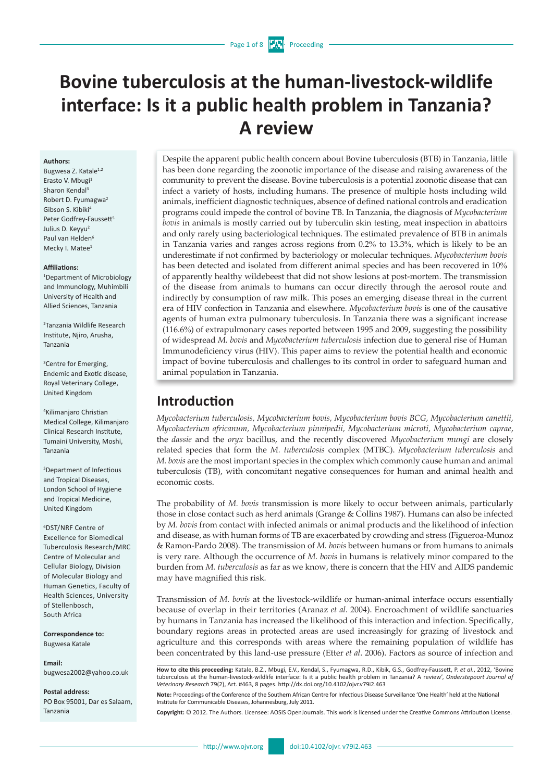#### Page 1 of 8

# **Bovine tuberculosis at the human-livestock-wildlife interface: Is it a public health problem in Tanzania? A review**

#### **Authors:**

Bugwesa Z. Katale<sup>1,2</sup> Erasto V. Mbugi1 Sharon Kendal3 Robert D. Fyumagwa2 Gibson S. Kibiki4 Peter Godfrey-Faussett<sup>5</sup> Julius D. Keyyu<sup>2</sup> Paul van Helden<sup>6</sup> Mecky I. Matee<sup>1</sup>

#### **Affiliations:**

1 Department of Microbiology and Immunology, Muhimbili University of Health and Allied Sciences, Tanzania

2 Tanzania Wildlife Research Institute, Njiro, Arusha, Tanzania

3 Centre for Emerging, Endemic and Exotic disease, Royal Veterinary College, United Kingdom

4 Kilimanjaro Christian Medical College, Kilimanjaro Clinical Research Institute, Tumaini University, Moshi, Tanzania

5 Department of Infectious and Tropical Diseases, London School of Hygiene and Tropical Medicine, United Kingdom

6 DST/NRF Centre of Excellence for Biomedical Tuberculosis Research/MRC Centre of Molecular and Cellular Biology, Division of Molecular Biology and Human Genetics, Faculty of Health Sciences, University of Stellenbosch, South Africa

**Correspondence to:** Bugwesa Katale

**Email:** [bugwesa2002@yahoo.co.uk](mailto:bugwesa2002@yahoo.co.uk)

**Postal address:**  PO Box 95001, Dar es Salaam, Tanzania

Despite the apparent public health concern about Bovine tuberculosis (BTB) in Tanzania, little has been done regarding the zoonotic importance of the disease and raising awareness of the community to prevent the disease. Bovine tuberculosis is a potential zoonotic disease that can infect a variety of hosts, including humans. The presence of multiple hosts including wild animals, inefficient diagnostic techniques, absence of defined national controls and eradication programs could impede the control of bovine TB. In Tanzania, the diagnosis of *Mycobacterium bovis* in animals is mostly carried out by tuberculin skin testing, meat inspection in abattoirs and only rarely using bacteriological techniques. The estimated prevalence of BTB in animals in Tanzania varies and ranges across regions from 0.2% to 13.3%, which is likely to be an underestimate if not confirmed by bacteriology or molecular techniques. *Mycobacterium bovis*  has been detected and isolated from different animal species and has been recovered in 10% of apparently healthy wildebeest that did not show lesions at post-mortem. The transmission of the disease from animals to humans can occur directly through the aerosol route and indirectly by consumption of raw milk. This poses an emerging disease threat in the current era of HIV confection in Tanzania and elsewhere. *Mycobacterium bovis* is one of the causative agents of human extra pulmonary tuberculosis. In Tanzania there was a significant increase (116.6%) of extrapulmonary cases reported between 1995 and 2009, suggesting the possibility of widespread *M. bovis* and *Mycobacterium tuberculosis* infection due to general rise of Human Immunodeficiency virus (HIV). This paper aims to review the potential health and economic impact of bovine tuberculosis and challenges to its control in order to safeguard human and animal population in Tanzania.

## **Introduction**

*Mycobacterium tuberculosis, Mycobacterium bovis, Mycobacterium bovis BCG, Mycobacterium canettii, Mycobacterium africanum, Mycobacterium pinnipedii, Mycobacterium microti, Mycobacterium caprae*, the *dassie* and the *oryx* bacillus, and the recently discovered *Mycobacterium mungi* are closely related species that form the *M. tuberculosis* complex (MTBC). *Mycobacterium tuberculosis* and *M. bovis* are the most important species in the complex which commonly cause human and animal tuberculosis (TB), with concomitant negative consequences for human and animal health and economic costs.

The probability of *M. bovis* transmission is more likely to occur between animals, particularly those in close contact such as herd animals (Grange & Collins 1987). Humans can also be infected by *M. bovis* from contact with infected animals or animal products and the likelihood of infection and disease, as with human forms of TB are exacerbated by crowding and stress (Figueroa-Munoz & Ramon-Pardo 2008). The transmission of *M. bovis* between humans or from humans to animals is very rare. Although the occurrence of *M. bovis* in humans is relatively minor compared to the burden from *M. tuberculosis* as far as we know, there is concern that the HIV and AIDS pandemic may have magnified this risk.

Transmission of *M. bovis* at the livestock-wildlife or human-animal interface occurs essentially because of overlap in their territories (Aranaz *et al*. 2004). Encroachment of wildlife sanctuaries by humans in Tanzania has increased the likelihood of this interaction and infection. Specifically, boundary regions areas in protected areas are used increasingly for grazing of livestock and agriculture and this corresponds with areas where the remaining population of wildlife has been concentrated by this land-use pressure (Etter *et al*. 2006). Factors as source of infection and

**Note:** Proceedings of the Conference of the Southern African Centre for Infectious Disease Surveillance 'One Health' held at the National Institute for Communicable Diseases, Johannesburg, July 2011.

**Copyright:** © 2012. The Authors. Licensee: AOSIS OpenJournals. This work is licensed under the Creative Commons Attribution License.

**How to cite this proceeding:** Katale, B.Z., Mbugi, E.V., Kendal, S., Fyumagwa, R.D., Kibik, G.S., Godfrey-Faussett, P. *et al*., 2012, 'Bovine tuberculosis at the human-livestock-wildlife interface: Is it a public health problem in Tanzania? A review', *Onderstepoort Journal of Veterinary Research* 79(2), Art. #463, 8 pages. http://dx.doi.org/10.4102/ojvr.v79i2.463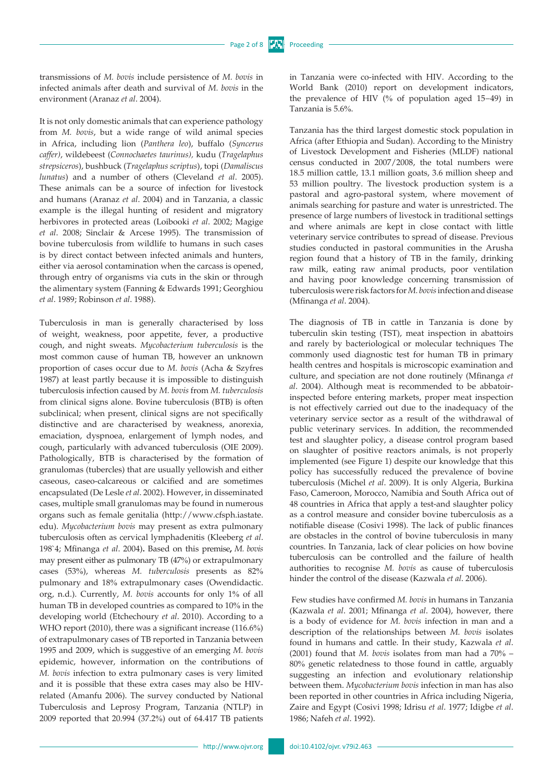transmissions of *M. bovis* include persistence of *M. bovis* in infected animals after death and survival of *M. bovis* in the environment (Aranaz *et al*. 2004).

It is not only domestic animals that can experience pathology from *M. bovis*, but a wide range of wild animal species in Africa, including lion (*Panthera leo*), buffalo (*Syncerus caffer)*, wildebeest (*Connochaetes taurinus),* kudu (*Tragelaphus strepsiceros*), bushbuck (*Tragelaphus scriptus*), topi (*Damaliscus lunatus*) and a number of others (Cleveland *et al*. 2005). These animals can be a source of infection for livestock and humans (Aranaz *et al*. 2004) and in Tanzania, a classic example is the illegal hunting of resident and migratory herbivores in protected areas (Loibooki *et al*. 2002; Magige *et al*. 2008; Sinclair & Arcese 1995). The transmission of bovine tuberculosis from wildlife to humans in such cases is by direct contact between infected animals and hunters, either via aerosol contamination when the carcass is opened, through entry of organisms via cuts in the skin or through the alimentary system (Fanning & Edwards 1991; Georghiou *et al*. 1989; Robinson *et al*. 1988).

Tuberculosis in man is generally characterised by loss of weight, weakness, poor appetite, [fever](http://www.emedicinehealth.com/script/main/art.asp?articlekey=58831), a productive [cough](http://www.emedicinehealth.com/script/main/art.asp?articlekey=58790), and night sweats. *Mycobacterium tuberculosis* is the most common cause of human TB, however an unknown proportion of cases occur due to *M. bovis* (Acha & Szyfres 1987) at least partly because it is impossible to distinguish tuberculosis infection caused by *M. bovis* from *M. tuberculosis*  from clinical signs alone. Bovine tuberculosis (BTB) is often subclinical; when present, clinical signs are not specifically distinctive and are characterised by weakness, anorexia, emaciation, dyspnoea, enlargement of lymph nodes, and cough, particularly with advanced tuberculosis (OIE 2009). Pathologically, BTB is characterised by the formation of granulomas (tubercles) that are usually yellowish and either caseous, caseo-calcareous or calcified and are sometimes encapsulated (De Lesle *et al*. 2002). However, in disseminated cases, multiple small granulomas may be found in numerous organs such as female genitalia (http:/[/www.cfsph.iastate.](http://www.cfsph.iastate.edu) [edu\)](http://www.cfsph.iastate.edu). *Mycobacterium bovis* may present as extra pulmonary tuberculosis often as cervical lymphadenitis (Kleeberg *et al*. 198`4; Mfinanga *et al*. 2004)**.** Based on this premise**,** *M. bovis* may present either as pulmonary TB (47%) or extrapulmonary cases (53%), whereas *M. tuberculosis* presents as 82% pulmonary and 18% extrapulmonary cases (Owendidactic. org, n.d.). Currently, *M. bovis* accounts for only 1% of all human TB in developed countries as compared to 10% in the developing world (Etchechoury *et al*. 2010). According to a WHO report (2010), there was a significant increase (116.6%) of extrapulmonary cases of TB reported in Tanzania between 1995 and 2009, which is suggestive of an emerging *M. bovis* epidemic, however, information on the contributions of *M. bovis* infection to extra pulmonary cases is very limited and it is possible that these extra cases may also be HIVrelated (Amanfu 2006). The survey conducted by National Tuberculosis and Leprosy Program, Tanzania (NTLP) in 2009 reported that 20.994 (37.2%) out of 64.417 TB patients

in Tanzania were co-infected with HIV. According to the World Bank (2010) report on development indicators, the prevalence of HIV (% of population aged 15−49) in Tanzania is 5.6%.

Tanzania has the third largest domestic stock population in Africa (after Ethiopia and Sudan). According to the Ministry of Livestock Development and Fisheries (MLDF) national census conducted in 2007/2008, the total numbers were 18.5 million cattle, 13.1 million goats, 3.6 million sheep and 53 million poultry. The livestock production system is a pastoral and agro-pastoral system, where movement of animals searching for pasture and water is unrestricted. The presence of large numbers of livestock in traditional settings and where animals are kept in close contact with little veterinary service contributes to spread of disease. Previous studies conducted in pastoral communities in the Arusha region found that a history of TB in the family, drinking raw milk, eating raw animal products, poor ventilation and having poor knowledge concerning transmission of tuberculosis were risk factors for *M. bovis* infection and disease (Mfinanga *et al*. 2004).

The diagnosis of TB in cattle in Tanzania is done by tuberculin skin testing (TST), meat inspection in abattoirs and rarely by bacteriological or molecular techniques The commonly used diagnostic test for human TB in primary health centres and hospitals is microscopic examination and culture, and speciation are not done routinely (Mfinanga *et al*. 2004). Although meat is recommended to be abbatoirinspected before entering markets, proper meat inspection is not effectively carried out due to the inadequacy of the veterinary service sector as a result of the withdrawal of public veterinary services. In addition, the recommended test and slaughter policy, a disease control program based on slaughter of positive reactors animals, is not properly implemented (see Figure 1) despite our knowledge that this policy has successfully reduced the prevalence of bovine tuberculosis (Michel *et al*. 2009). It is only Algeria, Burkina Faso, Cameroon, Morocco, Namibia and South Africa out of 48 countries in Africa that apply a test-and slaughter policy as a control measure and consider bovine tuberculosis as a notifiable disease (Cosivi 1998). The lack of public finances are obstacles in the control of bovine tuberculosis in many countries. In Tanzania, lack of clear policies on how bovine tuberculosis can be controlled and the failure of health authorities to recognise *M. bovis* as cause of tuberculosis hinder the control of the disease (Kazwala *et al*. 2006).

 Few studies have confirmed *M. bovis* in humans in Tanzania (Kazwala *et al*. 2001; Mfinanga *et al*. 2004), however, there is a body of evidence for *M. bovis* infection in man and a description of the relationships between *M. bovis* isolates found in humans and cattle. In their study, Kazwala *et al*. (2001) found that *M. bovis* isolates from man had a 70% – 80% genetic relatedness to those found in cattle, arguably suggesting an infection and evolutionary relationship between them. *Mycobacterium bovis* infection in man has also been reported in other countries in Africa including Nigeria, Zaire and Egypt (Cosivi 1998; Idrisu *et al*. 1977; Idigbe *et al*. 1986; Nafeh *et al*. 1992).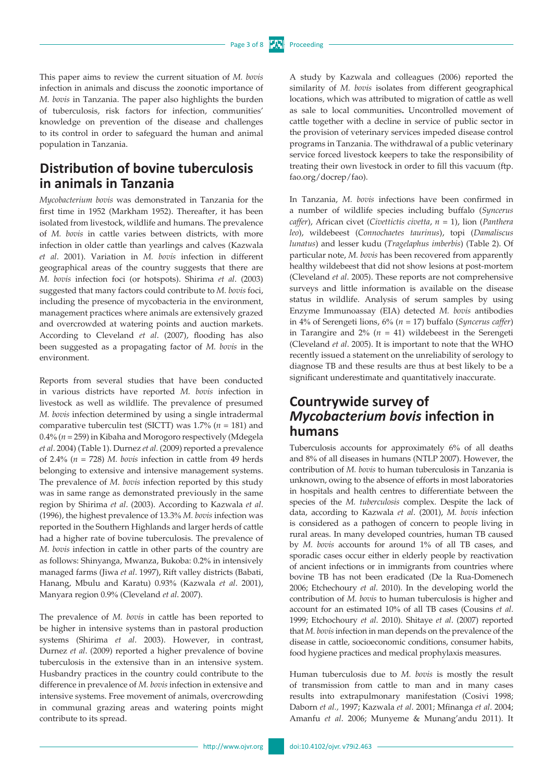This paper aims to review the current situation of *M. bovis* infection in animals and discuss the zoonotic importance of *M. bovis* in Tanzania. The paper also highlights the burden of tuberculosis, risk factors for infection, communities' knowledge on prevention of the disease and challenges to its control in order to safeguard the human and animal population in Tanzania.

# **Distribution of bovine tuberculosis in animals in Tanzania**

*Mycobacterium bovis* was demonstrated in Tanzania for the first time in 1952 (Markham 1952). Thereafter, it has been isolated from livestock, wildlife and humans. The prevalence of *M. bovis* in cattle varies between districts, with more infection in older cattle than yearlings and calves (Kazwala *et al*. 2001). Variation in *M. bovis* infection in different geographical areas of the country suggests that there are *M. bovis* infection foci (or hotspots). Shirima *et al*. (2003) suggested that many factors could contribute to *M. bovis* foci, including the presence of mycobacteria in the environment, management practices where animals are extensively grazed and overcrowded at watering points and auction markets. According to Cleveland *et al*. (2007), flooding has also been suggested as a propagating factor of *M. bovis* in the environment.

Reports from several studies that have been conducted in various districts have reported *M. bovis* infection in livestock as well as wildlife. The prevalence of presumed *M. bovis* infection determined by using a single intradermal comparative tuberculin test (SICTT) was 1.7% (*n* = 181) and 0.4% (*n* = 259) in Kibaha and Morogoro respectively (Mdegela *et al*. 2004) (Table 1). Durnez *et al.* (2009) reported a prevalence of 2.4% (*n* = 728) *M. bovis* infection in cattle from 49 herds belonging to extensive and intensive management systems. The prevalence of *M. bovis* infection reported by this study was in same range as demonstrated previously in the same region by Shirima *et al*. (2003). According to Kazwala *et al*. (1996), the highest prevalence of 13.3% *M. bovis* infection was reported in the Southern Highlands and larger herds of cattle had a higher rate of bovine tuberculosis. The prevalence of *M. bovis* infection in cattle in other parts of the country are as follows: Shinyanga, Mwanza, Bukoba: 0.2% in intensively managed farms (Jiwa *et al*. 1997), Rift valley districts (Babati, Hanang, Mbulu and Karatu) 0.93% (Kazwala *et al*. 2001), Manyara region 0.9% (Cleveland *et al*. 2007).

The prevalence of *M. bovis* in cattle has been reported to be higher in intensive systems than in pastoral production systems (Shirima *et al*. 2003). However, in contrast, Durnez *et al*. (2009) reported a higher prevalence of bovine tuberculosis in the extensive than in an intensive system. Husbandry practices in the country could contribute to the difference in prevalence of *M. bovis* infection in extensive and intensive systems. Free movement of animals, overcrowding in communal grazing areas and watering points might contribute to its spread.

A study by Kazwala and colleagues (2006) reported the similarity of *M. bovis* isolates from different geographical locations, which was attributed to migration of cattle as well as sale to local communities**.** Uncontrolled movement of cattle together with a decline in service of public sector in the provision of veterinary services impeded disease control programs in Tanzania. The withdrawal of a public veterinary service forced livestock keepers to take the responsibility of treating their own livestock in order to fill this vacuum [\(ftp.](ftp://ftp.fao.org/docrep/fao) [fao.org/docrep/fao\)](ftp://ftp.fao.org/docrep/fao).

In Tanzania, *M. bovis* infections have been confirmed in a number of wildlife species including buffalo (*Syncerus caffer*), African civet (*Civettictis civetta*, *n* = 1), lion (*Panthera leo*), wildebeest (*Connochaetes taurinus*), topi (*Damaliscus lunatus*) and lesser kudu (*Tragelaphus imberbis*) (Table 2). Of particular note, *M. bovis* has been recovered from apparently healthy wildebeest that did not show lesions at post-mortem (Cleveland *et al*. 2005). These reports are not comprehensive surveys and little information is available on the disease status in wildlife. Analysis of serum samples by using Enzyme Immunoassay (EIA) detected *M. bovis* antibodies in 4% of Serengeti lions, 6% (*n* = 17) buffalo (*Syncerus caffer*) in Tarangire and  $2\%$  ( $n = 41$ ) wildebeest in the Serengeti (Cleveland *et al*. 2005). It is important to note that the WHO recently issued a statement on the unreliability of serology to diagnose TB and these results are thus at best likely to be a significant underestimate and quantitatively inaccurate.

# **Countrywide survey of**  *Mycobacterium bovis* **infection in humans**

Tuberculosis accounts for approximately 6% of all deaths and 8% of all diseases in humans (NTLP 2007). However, the contribution of *M. bovis* to human tuberculosis in Tanzania is unknown, owing to the absence of efforts in most laboratories in hospitals and health centres to differentiate between the species of the *M. tuberculosis* complex. Despite the lack of data, according to Kazwala *et al*. (2001), *M. bovis* infection is considered as a pathogen of concern to people living in rural areas. In many developed countries, human TB caused by *M. bovis* accounts for around 1% of all TB cases, and sporadic cases occur either in elderly people by reactivation of ancient infections or in immigrants from countries where bovine TB has not been eradicated (De la Rua-Domenech 2006; Etchechoury *et al*. 2010). In the developing world the contribution of *M. bovis* to human tuberculosis is higher and account for an estimated 10% of all TB cases (Cousins *et al*. 1999; Etchochoury *et al*. 2010). Shitaye *et al*. (2007) reported that *M. bovis* infection in man depends on the prevalence of the disease in cattle, socioeconomic conditions, consumer habits, food hygiene practices and medical prophylaxis measures.

Human tuberculosis due to *M. bovis* is mostly the result of transmission from cattle to man and in many cases results into extrapulmonary manifestation (Cosivi 1998; Daborn *et al.,* 1997; Kazwala *et al*. 2001; Mfinanga *et al*. 2004; Amanfu *et al*. 2006; Munyeme & Munang'andu 2011). It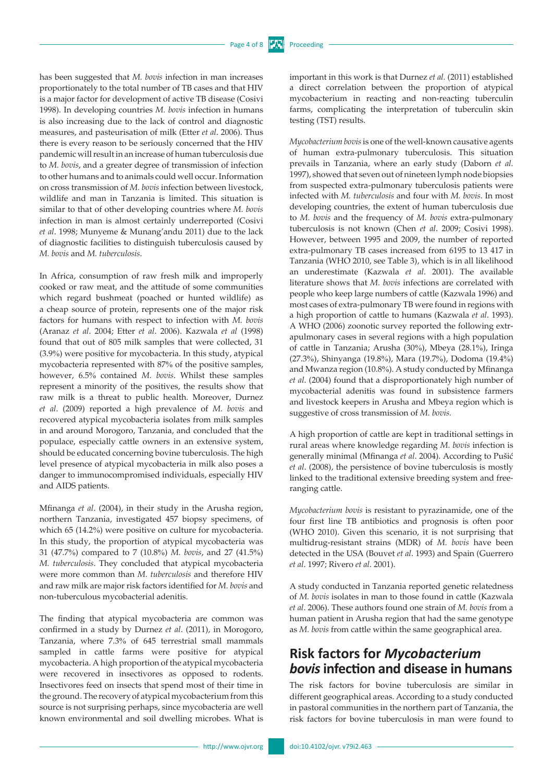has been suggested that *M. bovis* infection in man increases proportionately to the total number of TB cases and that HIV is a major factor for development of active TB disease (Cosivi 1998). In developing countries *M. bovis* infection in humans is also increasing due to the lack of control and diagnostic measures, and pasteurisation of milk (Etter *et al*. 2006). Thus there is every reason to be seriously concerned that the HIV pandemic will result in an increase of human tuberculosis due to *M. bovis*, and a greater degree of transmission of infection to other humans and to animals could well occur. Information on cross transmission of *M. bovis* infection between livestock, wildlife and man in Tanzania is limited. This situation is similar to that of other developing countries where *M. bovis*  infection in man is almost certainly underreported (Cosivi *et al*. 1998; Munyeme & Munang'andu 2011) due to the lack of diagnostic facilities to distinguish tuberculosis caused by *M. bovis* and *M. tuberculosis*.

In Africa, consumption of raw fresh milk and improperly cooked or raw meat, and the attitude of some communities which regard bushmeat (poached or hunted wildlife) as a cheap source of protein, represents one of the major risk factors for humans with respect to infection with *M. bovis*  (Aranaz *et al*. 2004; Etter *et al*. 2006). Kazwala *et al* (1998) found that out of 805 milk samples that were collected, 31 (3.9%) were positive for mycobacteria. In this study, atypical mycobacteria represented with 87% of the positive samples, however, 6.5% contained *M. bovis*. Whilst these samples represent a minority of the positives, the results show that raw milk is a threat to public health. Moreover, Durnez *et al*. (2009) reported a high prevalence of *M. bovis* and recovered atypical mycobacteria isolates from milk samples in and around Morogoro, Tanzania, and concluded that the populace, especially cattle owners in an extensive system, should be educated concerning bovine tuberculosis. The high level presence of atypical mycobacteria in milk also poses a danger to immunocompromised individuals, especially HIV and AIDS patients.

Mfinanga *et al*. (2004), in their study in the Arusha region, northern Tanzania, investigated 457 biopsy specimens, of which 65 (14.2%) were positive on culture for mycobacteria. In this study, the proportion of atypical mycobacteria was 31 (47.7%) compared to 7 (10.8%) *M. bovis*, and 27 (41.5%) *M. tuberculosis*. They concluded that atypical mycobacteria were more common than *M. tuberculosis* and therefore HIV and raw milk are major risk factors identified for *M. bovis* and non-tuberculous mycobacterial adenitis.

The finding that atypical mycobacteria are common was confirmed in a study by Durnez *et al*. (2011), in Morogoro, Tanzania, where 7.3% of 645 terrestrial small mammals sampled in cattle farms were positive for atypical mycobacteria. A high proportion of the atypical mycobacteria were recovered in insectivores as opposed to rodents. Insectivores feed on insects that spend most of their time in the ground. The recovery of atypical mycobacterium from this source is not surprising perhaps, since mycobacteria are well known environmental and soil dwelling microbes. What is

important in this work is that Durnez *et al.* (2011) established a direct correlation between the proportion of atypical mycobacterium in reacting and non-reacting tuberculin farms, complicating the interpretation of tuberculin skin testing (TST) results.

*Mycobacterium bovis* is one of the well-known causative agents of human extra-pulmonary tuberculosis. This situation prevails in Tanzania, where an early study (Daborn *et al.* 1997), showed that seven out of nineteen lymph node biopsies from suspected extra-pulmonary tuberculosis patients were infected with *M. tuberculosis* and four with *M. bovis*. In most developing countries, the extent of human tuberculosis due to *M. bovis* and the frequency of *M. bovis* extra-pulmonary tuberculosis is not known (Chen *et al*. 2009; Cosivi 1998). However, between 1995 and 2009, the number of reported extra-pulmonary TB cases increased from 6195 to 13 417 in Tanzania (WHO 2010, see Table 3), which is in all likelihood an underestimate (Kazwala *et al*. 2001). The available literature shows that *M. bovis* infections are correlated with people who keep large numbers of cattle (Kazwala 1996) and most cases of extra-pulmonary TB were found in regions with a high proportion of cattle to humans (Kazwala *et al*. 1993). A WHO (2006) zoonotic survey reported the following extrapulmonary cases in several regions with a high population of cattle in Tanzania; Arusha (30%), Mbeya (28.1%), Iringa (27.3%), Shinyanga (19.8%), Mara (19.7%), Dodoma (19.4%) and Mwanza region (10.8%). A study conducted by Mfinanga *et al*. (2004) found that a disproportionately high number of mycobacterial adenitis was found in subsistence farmers and livestock keepers in Arusha and Mbeya region which is suggestive of cross transmission of *M. bovis.* 

A high proportion of cattle are kept in traditional settings in rural areas where knowledge regarding *M. bovis* infection is generally minimal (Mfinanga *et al*. 2004). According to Pušić *et al*. (2008), the persistence of bovine tuberculosis is mostly linked to the traditional extensive breeding system and freeranging cattle.

*Mycobacterium bovis* is resistant to pyrazinamide, one of the four first line TB antibiotics and prognosis is often poor (WHO 2010). Given this scenario, it is not surprising that multidrug-resistant strains (MDR) of *M. bovis* have been detected in the USA (Bouvet *et al*. 1993) and Spain (Guerrero *et al*. 1997; Rivero *et al*. 2001).

A study conducted in Tanzania reported genetic relatedness of *M. bovis* isolates in man to those found in cattle (Kazwala *et al*. 2006). These authors found one strain of *M. bovis* from a human patient in Arusha region that had the same genotype as *M. bovis* from cattle within the same geographical area.

### **Risk factors for** *Mycobacterium bovis* **infection and disease in humans**

The risk factors for bovine tuberculosis are similar in different geographical areas. According to a study conducted in pastoral communities in the northern part of Tanzania, the risk factors for bovine tuberculosis in man were found to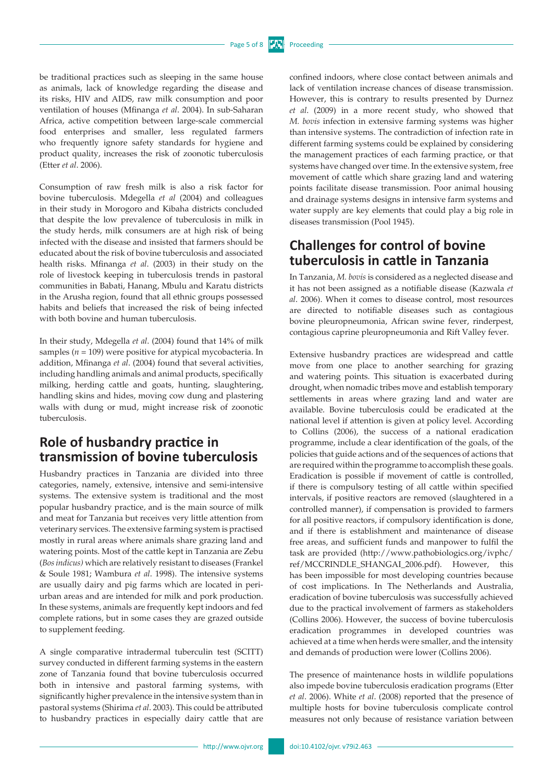be traditional practices such as sleeping in the same house as animals, lack of knowledge regarding the disease and its risks, HIV and AIDS, raw milk consumption and poor ventilation of houses (Mfinanga *et al*. 2004). In sub-Saharan Africa, active competition between large-scale commercial food enterprises and smaller, less regulated farmers who frequently ignore safety standards for hygiene and product quality, increases the risk of zoonotic tuberculosis (Etter *et al*. 2006).

Consumption of raw fresh milk is also a risk factor for bovine tuberculosis. Mdegella *et al* (2004) and colleagues in their study in Morogoro and Kibaha districts concluded that despite the low prevalence of tuberculosis in milk in the study herds, milk consumers are at high risk of being infected with the disease and insisted that farmers should be educated about the risk of bovine tuberculosis and associated health risks. Mfinanga *et al*. (2003) in their study on the role of livestock keeping in tuberculosis trends in pastoral communities in Babati, Hanang, Mbulu and Karatu districts in the Arusha region, found that all ethnic groups possessed habits and beliefs that increased the risk of being infected with both bovine and human tuberculosis.

In their study, Mdegella *et al*. (2004) found that 14% of milk samples ( $n = 109$ ) were positive for atypical mycobacteria. In addition, Mfinanga *et al*. (2004) found that several activities, including handling animals and animal products, specifically milking, herding cattle and goats, hunting, slaughtering, handling skins and hides, moving cow dung and plastering walls with dung or mud, might increase risk of zoonotic tuberculosis.

# **Role of husbandry practice in transmission of bovine tuberculosis**

Husbandry practices in Tanzania are divided into three categories, namely, extensive, intensive and semi-intensive systems. The extensive system is traditional and the most popular husbandry practice, and is the main source of milk and meat for Tanzania but receives very little attention from veterinary services. The extensive farming system is practised mostly in rural areas where animals share grazing land and watering points. Most of the cattle kept in Tanzania are Zebu (*Bos indicus)* which are relatively resistant to diseases (Frankel & Soule 1981; Wambura *et al*. 1998). The intensive systems are usually dairy and pig farms which are located in periurban areas and are intended for milk and pork production. In these systems, animals are frequently kept indoors and fed complete rations, but in some cases they are grazed outside to supplement feeding.

A single comparative intradermal tuberculin test (SCITT) survey conducted in different farming systems in the eastern zone of Tanzania found that bovine tuberculosis occurred both in intensive and pastoral farming systems, with significantly higher prevalence in the intensive system than in pastoral systems (Shirima *et al*. 2003). This could be attributed to husbandry practices in especially dairy cattle that are confined indoors, where close contact between animals and lack of ventilation increase chances of disease transmission. However, this is contrary to results presented by Durnez *et al*. (2009) in a more recent study, who showed that *M. bovis* infection in extensive farming systems was higher than intensive systems. The contradiction of infection rate in different farming systems could be explained by considering the management practices of each farming practice, or that systems have changed over time. In the extensive system, free movement of cattle which share grazing land and watering points facilitate disease transmission. Poor animal housing and drainage systems designs in intensive farm systems and water supply are key elements that could play a big role in diseases transmission (Pool 1945).

## **Challenges for control of bovine tuberculosis in cattle in Tanzania**

In Tanzania, *M. bovis* is considered as a neglected disease and it has not been assigned as a notifiable disease (Kazwala *et al*. 2006). When it comes to disease control, most resources are directed to notifiable diseases such as contagious bovine pleuropneumonia, African swine fever, rinderpest, contagious caprine pleuropneumonia and Rift Valley fever.

Extensive husbandry practices are widespread and cattle move from one place to another searching for grazing and watering points. This situation is exacerbated during drought, when nomadic tribes move and establish temporary settlements in areas where grazing land and water are available. Bovine tuberculosis could be eradicated at the national level if attention is given at policy level. According to Collins (2006), the success of a national eradication programme, include a clear identification of the goals, of the policies that guide actions and of the sequences of actions that are required within the programme to accomplish these goals. Eradication is possible if movement of cattle is controlled, if there is compulsory testing of all cattle within specified intervals, if positive reactors are removed (slaughtered in a controlled manner), if compensation is provided to farmers for all positive reactors, if compulsory identification is done, and if there is establishment and maintenance of disease free areas, and sufficient funds and manpower to fulfil the task are provided ([http://www.pathobiologics.org/ivphc/](http://www.pathobiologics.org/ivphc/ref/MCCRINDLE_SHANGAI_2006.pdf) [ref/MCCRINDLE\\_SHANGAI\\_2006.pdf\)](http://www.pathobiologics.org/ivphc/ref/MCCRINDLE_SHANGAI_2006.pdf). However, this has been impossible for most developing countries because of cost implications. In The Netherlands and Australia, eradication of bovine tuberculosis was successfully achieved due to the practical involvement of farmers as stakeholders (Collins 2006). However, the success of bovine tuberculosis eradication programmes in developed countries was achieved at a time when herds were smaller, and the intensity and demands of production were lower (Collins 2006).

The presence of maintenance hosts in wildlife populations also impede bovine tuberculosis eradication programs (Etter *et al*. 2006). White *et al*. (2008) reported that the presence of multiple hosts for bovine tuberculosis complicate control measures not only because of resistance variation between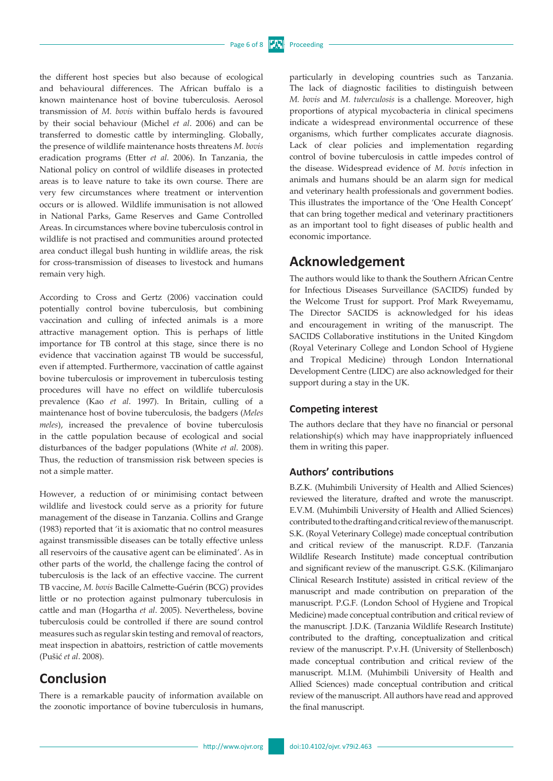the different host species but also because of ecological and behavioural differences. The African buffalo is a known maintenance host of bovine tuberculosis. Aerosol transmission of *M. bovis* within buffalo herds is favoured by their social behaviour (Michel *et al*. 2006) and can be transferred to domestic cattle by intermingling. Globally, the presence of wildlife maintenance hosts threatens *M. bovis* eradication programs (Etter *et al*. 2006). In Tanzania, the National policy on control of wildlife diseases in protected areas is to leave nature to take its own course. There are very few circumstances where treatment or intervention occurs or is allowed. Wildlife immunisation is not allowed in National Parks, Game Reserves and Game Controlled Areas. In circumstances where bovine tuberculosis control in wildlife is not practised and communities around protected area conduct illegal bush hunting in wildlife areas, the risk for cross-transmission of diseases to livestock and humans remain very high.

According to Cross and Gertz (2006) vaccination could potentially control bovine tuberculosis, but combining vaccination and culling of infected animals is a more attractive management option. This is perhaps of little importance for TB control at this stage, since there is no evidence that vaccination against TB would be successful, even if attempted. Furthermore, vaccination of cattle against bovine tuberculosis or improvement in tuberculosis testing procedures will have no effect on wildlife tuberculosis prevalence (Kao *et al*. 1997). In Britain, culling of a maintenance host of bovine tuberculosis, the badgers (*Meles meles*), increased the prevalence of bovine tuberculosis in the cattle population because of ecological and social disturbances of the badger populations (White *et al*. 2008). Thus, the reduction of transmission risk between species is not a simple matter.

However, a reduction of or minimising contact between wildlife and livestock could serve as a priority for future management of the disease in Tanzania. Collins and Grange (1983) reported that 'it is axiomatic that no control measures against transmissible diseases can be totally effective unless all reservoirs of the causative agent can be eliminated'. As in other parts of the world, the challenge facing the control of tuberculosis is the lack of an effective vaccine. The current TB vaccine, *M. bovis* Bacille Calmette-Guérin (BCG) provides little or no protection against pulmonary tuberculosis in cattle and man (Hogartha *et al*. 2005). Nevertheless, bovine tuberculosis could be controlled if there are sound control measures such as regular skin testing and removal of reactors, meat inspection in abattoirs, restriction of cattle movements (Pušić *et al*. 2008).

#### **Conclusion**

There is a remarkable paucity of information available on the zoonotic importance of bovine tuberculosis in humans, particularly in developing countries such as Tanzania. The lack of diagnostic facilities to distinguish between *M. bovis* and *M. tuberculosis* is a challenge. Moreover, high proportions of atypical mycobacteria in clinical specimens indicate a widespread environmental occurrence of these organisms, which further complicates accurate diagnosis. Lack of clear policies and implementation regarding control of bovine tuberculosis in cattle impedes control of the disease. Widespread evidence of *M. bovis* infection in animals and humans should be an alarm sign for medical and veterinary health professionals and government bodies. This illustrates the importance of the 'One Health Concept' that can bring together medical and veterinary practitioners as an important tool to fight diseases of public health and economic importance.

#### **Acknowledgement**

The authors would like to thank the Southern African Centre for Infectious Diseases Surveillance (SACIDS) funded by the Welcome Trust for support. Prof Mark Rweyemamu, The Director SACIDS is acknowledged for his ideas and encouragement in writing of the manuscript. The SACIDS Collaborative institutions in the United Kingdom (Royal Veterinary College and London School of Hygiene and Tropical Medicine) through London International Development Centre (LIDC) are also acknowledged for their support during a stay in the UK.

#### **Competing interest**

The authors declare that they have no financial or personal relationship(s) which may have inappropriately influenced them in writing this paper.

#### **Authors' contributions**

B.Z.K. (Muhimbili University of Health and Allied Sciences) reviewed the literature, drafted and wrote the manuscript. E.V.M. (Muhimbili University of Health and Allied Sciences) contributed to the drafting and critical review of the manuscript. S.K. (Royal Veterinary College) made conceptual contribution and critical review of the manuscript. R.D.F. (Tanzania Wildlife Research Institute) made conceptual contribution and significant review of the manuscript. G.S.K. (Kilimanjaro Clinical Research Institute) assisted in critical review of the manuscript and made contribution on preparation of the manuscript. P.G.F. (London School of Hygiene and Tropical Medicine) made conceptual contribution and critical review of the manuscript. J.D.K. (Tanzania Wildlife Research Institute) contributed to the drafting, conceptualization and critical review of the manuscript. P.v.H. (University of Stellenbosch) made conceptual contribution and critical review of the manuscript. M.I.M. (Muhimbili University of Health and Allied Sciences) made conceptual contribution and critical review of the manuscript. All authors have read and approved the final manuscript.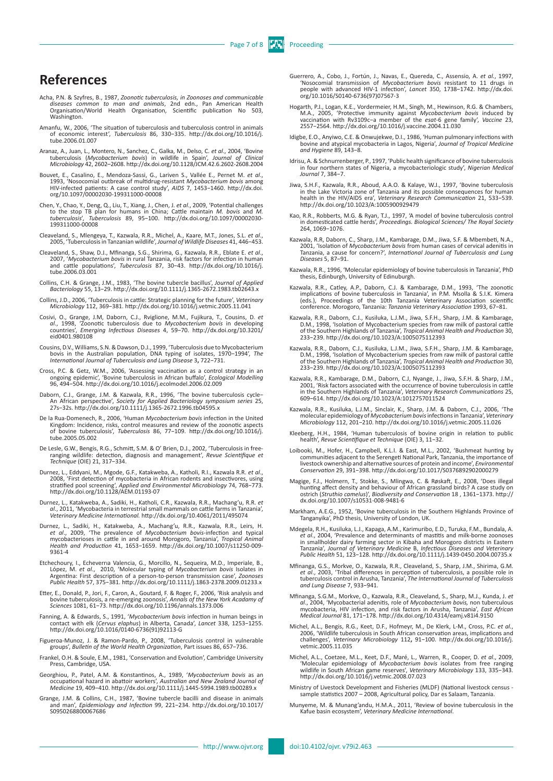### **References**

- Acha, P.N. & Szyfres, B., 1987, Zoonotic tuberculosis, in Zoonoses and communicable<br>diseases common to man and animals, 2nd edn., Pan American Health<br>Organisation/World Health Organisation, Scientific publication No 503, Washington.
- Amanfu, W., 2006, 'The situation of tuberculosis and tuberculosis control in animals of economic interest', *Tuberculosis* 86, 330−335. [http://dx.doi.org/10.1016/j.](http://dx.doi.org/10.1016/j.tube.2006.01.007) [tube.2006.01.007](http://dx.doi.org/10.1016/j.tube.2006.01.007)
- Aranaz, A., Juan, L., Montero, N., Sanchez, C., Galka, M., Delso, C. et al., 2004, 'Bovine<br>tuberculosis (Mycobacterium bovis) in wildlife in Spain', Journal of Clinical<br>Microbiology 42, 2602-2608. http://dx.doi.org/10.1128
- Bouvet, E., Casalino, E., Mendoza-Sassi, G., [Lariven S](http://www.ncbi.nlm.nih.gov/pubmed?term=%22Lariven S%22%5BAuthor%5D)., [Vallée E.](http://www.ncbi.nlm.nih.gov/pubmed?term=%22Vall%C3%A9e E%22%5BAuthor%5D), [Pernet M.](http://www.ncbi.nlm.nih.gov/pubmed?term=%22Pernet M%22%5BAuthor%5D) *et al*., 1993, 'Nosocomial outbreak of multidrug-resistant *Mycobacterium bovis* among HIV-infected patients: A case control study', *AIDS* 7, 1453−1460. [http://dx.doi.](http://dx.doi.org/10.1097/00002030-199311000-00008) [org/10.1097/00002030-199311000-00008](http://dx.doi.org/10.1097/00002030-199311000-00008)
- Chen, Y., Chao, Y., Deng, Q., Liu, T., Xiang, J., Chen, J. et al., 2009, 'Potential challenges<br>to the stop TB plan for humans in China; Cattle maintain M. bovis and M.<br>tuberculosis', Tuberculosis 89, 95-100. http://dx.doi. [199311000-00008](http://dx.doi.org/10.1097/00002030-199311000-00008)
- Cleaveland, S., Mlengeya, T., Kazwala, R.R., Michel, A., Kaare, M.T., Jones, S.L. *et al*., 2005, 'Tuberculosis in Tanzanian wildlife', *Journal of Wildlife Diseases* 41, 446−453.
- Cleaveland, S., Shaw, D.J., Mfinanga, S.G., Shirima, G., Kazwala, R.R., Eblate E. *et al*., 2007, '*Mycobacterium bovis* in rural Tanzania, risk factors for infection in human and cattle populations', *Tuberculosis* 87, 30−43. [http://dx.doi.org/10.1016/j.](http://dx.doi.org/10.1016/j.tube.2006.03.001) [tube.2006.03.001](http://dx.doi.org/10.1016/j.tube.2006.03.001)
- Collins, C.H. & Grange, J.M., 1983, 'The bovine tubercle bacillus', *Journal of Applied Bacteriology* 55, 13−29.<http://dx.doi.org/10.1111/j.1365-2672.1983.tb02643.x>
- Collins, J.D., 2006, 'Tuberculosis in cattle: Strategic planning for the future', *Veterinary Microbiology* 112, 369−381. <http://dx.doi.org/10.1016/j.vetmic.2005.11.041>
- Cosivi, O., Grange, J.M, Daborn, C.J., Rviglione, M.M., Fujikura, T., Cousins, D. et al., 1998, 'Zoonotic tuberculosis due to *Mycobacterium bovis* in developing countries', *Emerging Infectious Diseases* 4, 59-70. http:// [eid0401.980108](http://dx.doi.org/10.3201/eid0401.980108)
- Cousins, D.V., Williams, S.N. & Dawson, D.J., 1999, 'Tuberculosis due to Mycobacterium<br>bovis in the Australian population, DNA typing of isolates, 1970–1994', *The<br>International Journal of Tuberculosis and Lung Disease 3,*
- Cross, P.C. & Getz, W.M., 2006, 'Assessing vaccination as a control strategy in an<br>ongoing epidemic', 'Bovine tuberculosis in African buffalo', Ecological Modelling<br>96, 494-504. http://dx.doi.org/10.1016/j.ecolmodel.2006.0
- Daborn, C.J., Grange, J.M. & Kazwala, R.R., 1996, 'The bovine tuberculosis cycle-<br>An African perspective', Society for Applied Bacteriology symposium series 25,<br>275-32s.<http://dx.doi.org/10.1111/j.1365-2672.1996.tb04595.x>
- De la Rua-Domenech, R., 2006, 'Human Mycobacterium bovis infection in the United<br>Kingdom: Incidence, risks, control measures and review of the zoonotic aspects<br>of bovine tuberculosis', Tuberculosis 86, 77-109. http://dx.do [tube.2005.05.002](http://dx.doi.org/10.1016/j.tube.2005.05.002)
- De Lesle, G.W., Bengis, R.G., Schmitt, S.M. & O' Brien, D.J., 2002, 'Tuberculosis in freeranging wildlife: detection, diagnosis and management', *Revue Scientifique et Technique* (OIE) 21, 317−334.
- Durnez, L., Eddyani, M., Mgode, G.F., Katakweba, A., Katholi, R.I., Kazwala R.R. *et al*., 2008, 'First detection of mycobacteria in African rodents and insectivores, using stratified pool screening', *Applied and Environmental Microbiology* 74, 768−773. <http://dx.doi.org/10.1128/AEM.01193-07>
- Durnez, L., Katakweba, A., Sadiki, H., Katholi, C.R., Kazwala, R.R., Machang'u, R.R. et<br>al., 2011, 'Mycobacteria in terrestrial small mammals on cattle farms in Tanzania',<br>Veterinary Medicine International. http://dx.doi.o
- Durnez, L., Sadiki, H., Katakweba, A., Machang'u, R.R., Kazwala, R.R., Leirs, H.<br>et al., 2009, 'The prevalence of *Mycobacterium bovis*-infection and typical<br>mycobacterioses in cattle in and around Morogoro, Tanzania', Tro *Health and Production* 41, 1653−1659. [http://dx.doi.org/10.1007/s11250-009-](http://dx.doi.org/10.1007/s11250-009-9361-4) [9361-4](http://dx.doi.org/10.1007/s11250-009-9361-4)
- Etchechoury, I., Echeverrıa Valencia, G., Morcillo, N., Sequeira, M.D., Imperiale, B., López, M. *et al., 2*010, 'Molecular typing of *Mycobacterium bovis* Isolates in<br>Argentina: First description of a person-to-person transmission case', *Zoonoses*<br>*Public Health* 57, 375–381. http://dx.doi.org/10.1111/j.18
- Etter, E., Donald, P., Jori, F., Caron, A., Goutard, F. & Roger, F., 2006, 'Risk analysis and<br>bovine tuberculosis, a re-emerging zoonosis', Annals of the New York Acadamy of<br>Sciences 1081, 61-73. http://dx.doi.org/10.1196/
- Fanning, A. & Edwards, S., 1991, '*Mycobacterium bovis* infection in human beings in contact with elk (*Cervus elaphus*) in Alberta, Canada', *Lancet* 338, 1253−1255. [http://dx.doi.org/10.1016/0140-6736\(91\)92113-G](http://dx.doi.org/10.1016/0140-6736(91)92113-G)
- Figueroa-Munoz, J. & Ramon-Pardo, P., 2008, 'Tuberculosis control in vulnerable groups', *Bulletin of the World Health Organization*, Part issues 86, 657−736.
- Frankel, O.H. & Soule, E.M., 1981, 'Conservation and Evolution', Cambridge University Press, Cambridge, USA.
- Georghiou, P., Patel, A.M. & Konstantinos, A., 1989, 'Mycobacterium bovis as an<br>occupational hazard in abattoir workers', Australian and New Zealand Journal of<br>Medicine 19, 409-410. http://dx.doi.org/10.1111/j.1445-5994.19
- Grange, J.M. & Collins, C.H., 1987, 'Bovine tubercle bacilli and disease in animals and man', *Epidemiology and Infection* 99, 221−234. [http://dx.doi.org/10.1017/](http://dx.doi.org/10.1017/S0950268800067686) [S0950268800067686](http://dx.doi.org/10.1017/S0950268800067686)
- Guerrero, A., Cobo, J., Fortún, J., Navas, E., Quereda, C., Assensio, A. et al., 1997, 'Nosocomial transmission of Mycobacterium bovis resistant to 11 drugs in pople with advanced HIV-1 infection', Lancet 350, 1738-1742. h [org/10.1016/S0140-6736\(97\)07567-3](http://dx.doi.org/10.1016/S0140-6736(97)07567-3)
- Hogarth, P.J., Logan, K.E., Vordermeier, H.M., Singh, M., Hewinson, R.G. & Chambers,<br>M.A., 2005, 'Protective immunity against Mycobacterium bovis induced by<br>vaccination with Rv3109c-a member of the esat-6 gene family', Vac 2557−2564.<http://dx.doi.org/10.1016/j.vaccine.2004.11.030>
- Idigbe, E.O., Anyiwo, C.E. & Onwujekwe, D.I., 1986, 'Human pulmonary infections with bovine and atypical mycobacteria in Lagos, Nigeria', *Journal of Tropical Medicine and Hygiene* 89, 143−8.
- Idrisu, A. & Schnurrenberger, P., 1997, 'Public health significance of bovine tuberculosis in four northern states of Nigeria, a mycobacteriologic study', *Nigerian Medical Journal* 7, 384−7.
- Jiwa, S.H.F., Kazwala, R.R., Aboud, A.A.O. & Kalaye, W.J., 1997, 'Bovine tuberculosis in the Lake Victoria zone of Tanzania and its possible consequences for human<br>health in the HIV/AIDS era', *Veterinary Research Communication* 21, 533−539.<br><http://dx.doi.org/10.1023/A:1005900929479>
- Kao, R.R., Robberts, M.G. & Ryan, T.J., 1997, 'A model of bovine tuberculosis control in domesticated cattle herds', *Proceedings. Biological Sciences/ The Royal Society* 264, 1069−1076.
- ,Kazwala, R.R, Daborn, C., Sharp, J.M., Kambarage, D.M., Jiwa, S.F. & Mbembeti, N.A.<br>2001, 'Isolation of *Mycobacterium bovis from* human cases of cervical adenitis in<br>Tanzania, a cause for concern?', *International Journa Diseases* 5, 87−91.
- Kazwala, R.R., 1996, 'Molecular epidemiology of bovine tuberculosis in Tanzania', PhD thesis, Edinburgh, University of Edinuburgh.
- Kazwala, R.R., Catley, A.P., Daborn, C.J. & Kambarage, D.M., 1993, 'The zoonotic<br>implications of bovine tuberculosis in Tanzania', in P.M. Msolla & S.I.K. Kimera<br>eds.), Proceedings of the 10th Tanzania Veterinary Associati conference. Morogoro, Tanzania: *Tanzania Veterinary Association* 1993, 67−81.
- Kazwala, R.R., Daborn, C.J., Kusiluka, L.J.M., Jiwa, S.F.H., Sharp, J.M. & Kambarage, D.M., 1998, 'Isolation of Mycobacterium species from raw milk of pastoral cattle of the Southern Highlands of Tanzania', *Tropical Animal Health and Production* 30, 233−239.<http://dx.doi.org/10.1023/A:1005075112393>
- Kazwala, R.R., Daborn, C.J., Kusiluka, L.J.M., Jiwa, S.F.H., Sharp, J.M. & Kambarage, D.M., 1998, 'Isolation of Mycobacterium species from raw milk of pastoral cattle of the Southern Highlands of Tanzania', *Tropical Animal Health and Production* 30, 233−239.<http://dx.doi.org/10.1023/A:1005075112393>
- , Kazwala, R.R., Kambarage, D.M., Daborn, C.J, Nyange, J., Jiwa, S.F.H. & Sharp, J.M.<br>2001, 'Risk factors associated with the occurrence of bovine tuberculosis in cattle<br>10 in the Southern Highlands of Tanzania', Veterinar 609−614.<http://dx.doi.org/10.1023/A:1012757011524>
- Kazwala, R.R., Kusiluka, L.J.M., Sinclair, K., Sharp, J.M. & Daborn, C.J., 2006, 'The<br>molecular epidemiology of Mycobacterium bovis infections in Tanzania', Veterinary<br>Microbiology 112, 201-210. http://dx.doi.org/10.1016/j
- Kleeberg, H.H., 1984, 'Human tuberculosis of bovine origin in relation to public health', *Revue Scientifique et Technique* (OIE) 3, 11−32.
- Loibooki, M., Hofer, H., Campbell, K.L.I. & East, M.L., 2002, 'Bushmeat hunting by communities adjacent to the Serengeti National Park, Tanzania, the importance of livestock ownership and alternative sources of protein and income', *Environmental Conservation* 29, 391−398.<http://dx.doi.org/10.1017/S0376892902000279>
- [Magige,](http://www.springerlink.com/content/?Author=Flora+John+Magige) F.J., [Holmern,](http://www.springerlink.com/content/?Author=Tomas+Holmern) T., [Stokke,](http://www.springerlink.com/content/?Author=Sigbj%c3%b8rn+Stokke) S., [Mlingwa,](http://www.springerlink.com/content/?Author=Charles+Mlingwa) C. & [Røskaft](http://www.springerlink.com/content/?Author=Eivin+R%c3%b8skaft), E., 2008, 'Does illegal hunting affect density and behaviour of African grassland birds? A case study on ostrich (*Struthio camelus*)', *[Biodiversity and Conservation](http://www.springerlink.com/content/0960-3115/)* [18](http://www.springerlink.com/content/0960-3115/18/5/) , 1361−1373. [http://](http://dx.doi.org/10.1007/s10531-008-9481-6) [dx.doi.org/10.1007/s10531-008-9481-6](http://dx.doi.org/10.1007/s10531-008-9481-6)
- Markham, A.E.G., 1952, 'Bovine tuberculosis in the Southern Highlands Province of Tanganyika', PhD thesis, University of London, UK.
- Mdegela, R.H., Kusiluka, L.J., Kapaga, A.M., Karimuribo, E.D., Turuka, F.M., Bundala, A. *et al*., 2004, 'Prevalence and determinants of mastitis and milk-borne zoonoses in smallholder dairy farming sector in Kibaha and Morogoro districts in Eastern Tanzania', *Journal of Veterinary Medicine* B, *Infectious Diseases and Veterinary Public Health* 51, 123−128. <http://dx.doi.org/10.1111/j.1439-0450.2004.00735.x>
- Mfinanga, G.S., Morkve, O., Kazwala, R.R., Cleaveland, S., Sharp, J.M., Shirima, G.M. *et al*., 2003, 'Tribal differences in perception of tuberculosis, a possible role in tuberculosis control in Arusha, Tanzania', *The International Journal of Tuberculosis and Lung Disease* 7, 933−941.
- Mfinanga, S.G.M., Morkve, O., Kazwala, R.R., Cleaveland, S., Sharp, M.J., Kunda, J. et<br>al., 2004, 'Mycobacterial adenitis, role of Mycobacterium bovis, non tuberculous<br>mycobacteria, HIV infection, and risk factors in Arush *Medical Journal* 81, 171−178.<http://dx.doi.org/10.4314/eamj.v81i4.9150>
- Michel, A.L., Bengis, R.G., Keet, D.F., Hofmeyr, M., De Klerk, L-M., Cross, P.C. *et al.*, 2006, 'Wildlife tuberculosis in South African conservation areas, implications and challenges', *Veterinary Microbiology* 112**,** 91−100. [http://dx.doi.org/10.1016/j.](http://dx.doi.org/10.1016/j.vetmic.2005.11.035) [vetmic.2005.11.035](http://dx.doi.org/10.1016/j.vetmic.2005.11.035)
- Michel, A.L., Coetzee, M.L., Keet, D.F., Maré, L., Warren, R., Cooper, D. et al., 2009, 'Molecular epidemiology of *Mycobacterium bovis* isolates from free ranging wildlife in South African game reserves', Veterinary Micro
- Ministry of Livestock Development and Fisheries (MLDF) (National livestock census sample statistics 2007 – 2008, Agricultural policy, Dar es Salaam, Tanzania.
- Munyeme, M. & Munang'andu, H.M.A., 2011, 'Review of bovine tuberculosis in the Kafue basin ecosystem', *Veterinary Medicine International*.